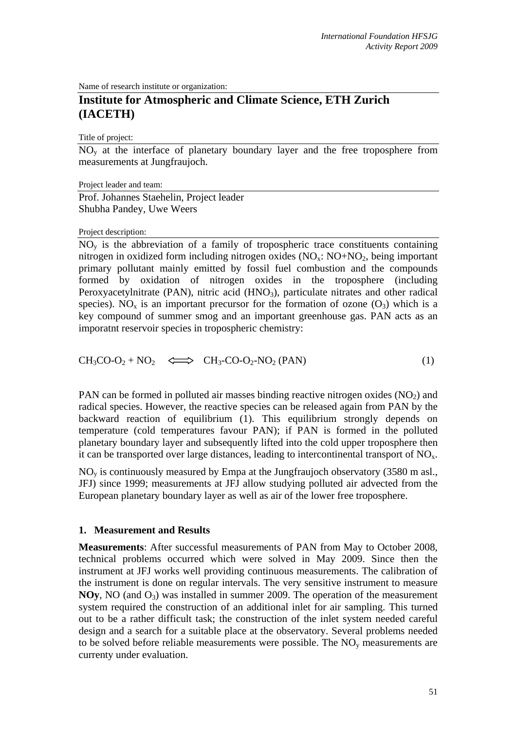Name of research institute or organization:

# **Institute for Atmospheric and Climate Science, ETH Zurich (IACETH)**

Title of project:

 $\overline{NO_{v}}$  at the interface of planetary boundary layer and the free troposphere from measurements at Jungfraujoch.

Project leader and team: Prof. Johannes Staehelin, Project leader Shubha Pandey, Uwe Weers

## Project description:

 $\overline{NO_v}$  is the abbreviation of a family of tropospheric trace constituents containing nitrogen in oxidized form including nitrogen oxides  $(NO_x: NO+NO_2, being important$ primary pollutant mainly emitted by fossil fuel combustion and the compounds formed by oxidation of nitrogen oxides in the troposphere (including Peroxyacetylnitrate (PAN), nitric acid  $(HNO<sub>3</sub>)$ , particulate nitrates and other radical species). NO<sub>x</sub> is an important precursor for the formation of ozone  $(O_3)$  which is a key compound of summer smog and an important greenhouse gas. PAN acts as an imporatnt reservoir species in tropospheric chemistry:

$$
CH_3CO-O_2 + NO_2 \quad \Longleftrightarrow \quad CH_3-CO-O_2-NO_2 (PAN) \tag{1}
$$

PAN can be formed in polluted air masses binding reactive nitrogen oxides  $(NO<sub>2</sub>)$  and radical species. However, the reactive species can be released again from PAN by the backward reaction of equilibrium (1). This equilibrium strongly depends on temperature (cold temperatures favour PAN); if PAN is formed in the polluted planetary boundary layer and subsequently lifted into the cold upper troposphere then it can be transported over large distances, leading to intercontinental transport of  $NO<sub>x</sub>$ .

 $NO<sub>v</sub>$  is continuously measured by Empa at the Jungfraujoch observatory (3580 m asl., JFJ) since 1999; measurements at JFJ allow studying polluted air advected from the European planetary boundary layer as well as air of the lower free troposphere.

# **1. Measurement and Results**

**Measurements**: After successful measurements of PAN from May to October 2008, technical problems occurred which were solved in May 2009. Since then the instrument at JFJ works well providing continuous measurements. The calibration of the instrument is done on regular intervals. The very sensitive instrument to measure **NOy**, NO (and  $O_3$ ) was installed in summer 2009. The operation of the measurement system required the construction of an additional inlet for air sampling. This turned out to be a rather difficult task; the construction of the inlet system needed careful design and a search for a suitable place at the observatory. Several problems needed to be solved before reliable measurements were possible. The  $NO<sub>v</sub>$  measurements are currenty under evaluation.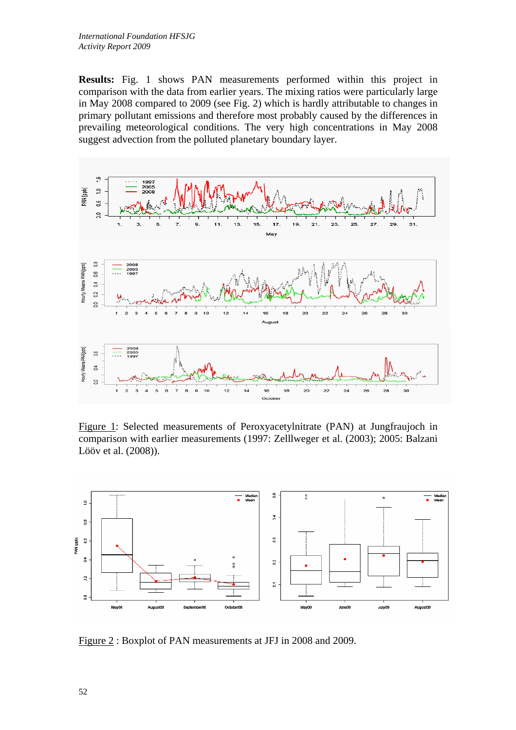**Results:** Fig. 1 shows PAN measurements performed within this project in comparison with the data from earlier years. The mixing ratios were particularly large in May 2008 compared to 2009 (see Fig. 2) which is hardly attributable to changes in primary pollutant emissions and therefore most probably caused by the differences in prevailing meteorological conditions. The very high concentrations in May 2008 suggest advection from the polluted planetary boundary layer.



Figure 1: Selected measurements of Peroxyacetylnitrate (PAN) at Jungfraujoch in comparison with earlier measurements (1997: Zelllweger et al. (2003); 2005: Balzani Lööv et al. (2008)).



Figure 2 : Boxplot of PAN measurements at JFJ in 2008 and 2009.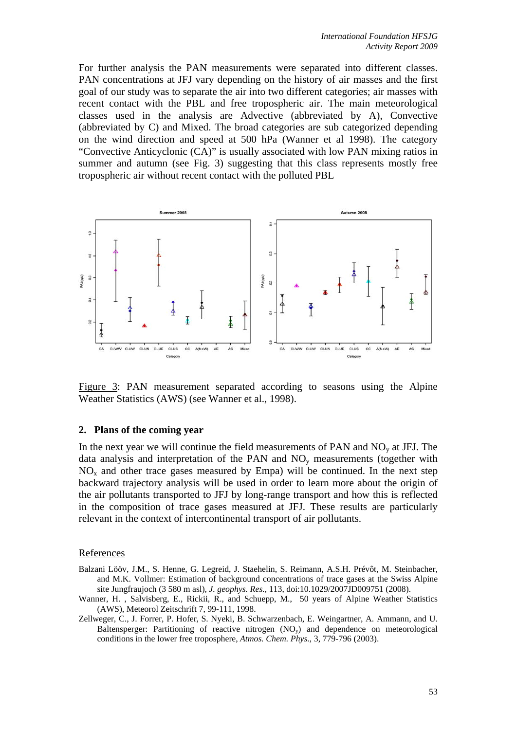For further analysis the PAN measurements were separated into different classes. PAN concentrations at JFJ vary depending on the history of air masses and the first goal of our study was to separate the air into two different categories; air masses with recent contact with the PBL and free tropospheric air. The main meteorological classes used in the analysis are Advective (abbreviated by A), Convective (abbreviated by C) and Mixed. The broad categories are sub categorized depending on the wind direction and speed at 500 hPa (Wanner et al 1998). The category "Convective Anticyclonic (CA)" is usually associated with low PAN mixing ratios in summer and autumn (see Fig. 3) suggesting that this class represents mostly free tropospheric air without recent contact with the polluted PBL



Figure 3: PAN measurement separated according to seasons using the Alpine Weather Statistics (AWS) (see Wanner et al., 1998).

#### **2. Plans of the coming year**

In the next year we will continue the field measurements of PAN and  $NO<sub>v</sub>$  at JFJ. The data analysis and interpretation of the PAN and  $NO<sub>y</sub>$  measurements (together with  $NO<sub>x</sub>$  and other trace gases measured by Empa) will be continued. In the next step backward trajectory analysis will be used in order to learn more about the origin of the air pollutants transported to JFJ by long-range transport and how this is reflected in the composition of trace gases measured at JFJ. These results are particularly relevant in the context of intercontinental transport of air pollutants.

#### References

- Balzani Lööv, J.M., S. Henne, G. Legreid, J. Staehelin, S. Reimann, A.S.H. Prévôt, M. Steinbacher, and M.K. Vollmer: Estimation of background concentrations of trace gases at the Swiss Alpine site Jungfraujoch (3 580 m asl)*, J. geophys. Res.*, 113, doi:10.1029/2007JD009751 (2008).
- Wanner, H. , Salvisberg, E., Rickii, R., and Schuepp, M., 50 years of Alpine Weather Statistics (AWS), Meteorol Zeitschrift 7, 99-111, 1998.
- Zellweger, C., J. Forrer, P. Hofer, S. Nyeki, B. Schwarzenbach, E. Weingartner, A. Ammann, and U. Baltensperger: Partitioning of reactive nitrogen (NOy) and dependence on meteorological conditions in the lower free troposphere, *Atmos. Chem. Phys.*, 3, 779-796 (2003).